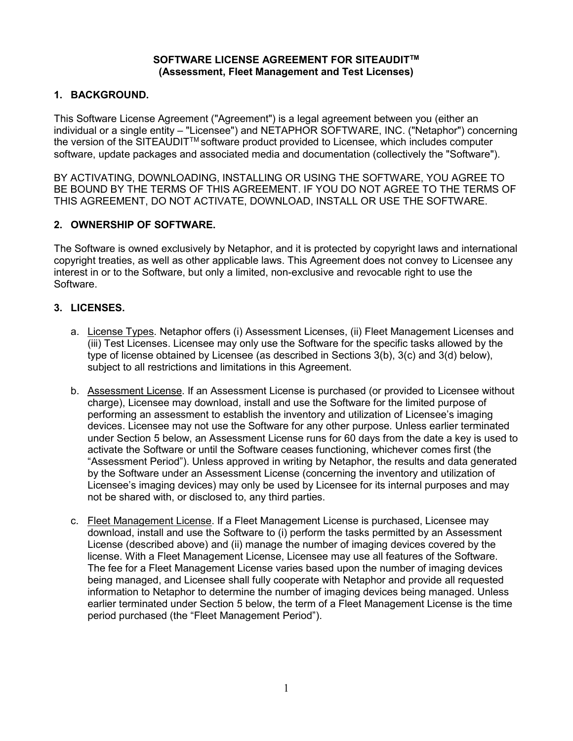#### SOFTWARE LICENSE AGREEMENT FOR SITEAUDIT™ (Assessment, Fleet Management and Test Licenses)

# 1. BACKGROUND.

This Software License Agreement ("Agreement") is a legal agreement between you (either an individual or a single entity – "Licensee") and NETAPHOR SOFTWARE, INC. ("Netaphor") concerning the version of the SITEAUDIT™ software product provided to Licensee, which includes computer software, update packages and associated media and documentation (collectively the "Software").

BY ACTIVATING, DOWNLOADING, INSTALLING OR USING THE SOFTWARE, YOU AGREE TO BE BOUND BY THE TERMS OF THIS AGREEMENT. IF YOU DO NOT AGREE TO THE TERMS OF THIS AGREEMENT, DO NOT ACTIVATE, DOWNLOAD, INSTALL OR USE THE SOFTWARE.

# 2. OWNERSHIP OF SOFTWARE.

The Software is owned exclusively by Netaphor, and it is protected by copyright laws and international copyright treaties, as well as other applicable laws. This Agreement does not convey to Licensee any interest in or to the Software, but only a limited, non-exclusive and revocable right to use the Software.

# 3. LICENSES.

- a. License Types. Netaphor offers (i) Assessment Licenses, (ii) Fleet Management Licenses and (iii) Test Licenses. Licensee may only use the Software for the specific tasks allowed by the type of license obtained by Licensee (as described in Sections 3(b), 3(c) and 3(d) below), subject to all restrictions and limitations in this Agreement.
- b. Assessment License. If an Assessment License is purchased (or provided to Licensee without charge), Licensee may download, install and use the Software for the limited purpose of performing an assessment to establish the inventory and utilization of Licensee's imaging devices. Licensee may not use the Software for any other purpose. Unless earlier terminated under Section 5 below, an Assessment License runs for 60 days from the date a key is used to activate the Software or until the Software ceases functioning, whichever comes first (the "Assessment Period"). Unless approved in writing by Netaphor, the results and data generated by the Software under an Assessment License (concerning the inventory and utilization of Licensee's imaging devices) may only be used by Licensee for its internal purposes and may not be shared with, or disclosed to, any third parties.
- c. Fleet Management License. If a Fleet Management License is purchased, Licensee may download, install and use the Software to (i) perform the tasks permitted by an Assessment License (described above) and (ii) manage the number of imaging devices covered by the license. With a Fleet Management License, Licensee may use all features of the Software. The fee for a Fleet Management License varies based upon the number of imaging devices being managed, and Licensee shall fully cooperate with Netaphor and provide all requested information to Netaphor to determine the number of imaging devices being managed. Unless earlier terminated under Section 5 below, the term of a Fleet Management License is the time period purchased (the "Fleet Management Period").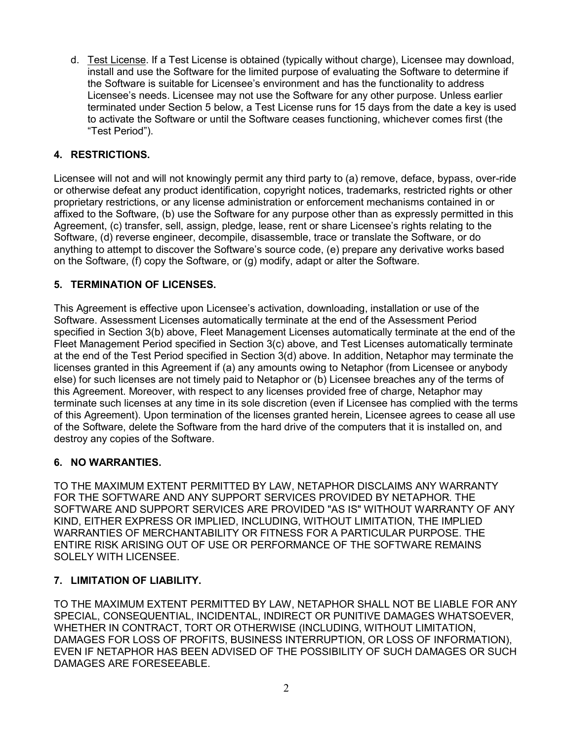d. Test License. If a Test License is obtained (typically without charge), Licensee may download, install and use the Software for the limited purpose of evaluating the Software to determine if the Software is suitable for Licensee's environment and has the functionality to address Licensee's needs. Licensee may not use the Software for any other purpose. Unless earlier terminated under Section 5 below, a Test License runs for 15 days from the date a key is used to activate the Software or until the Software ceases functioning, whichever comes first (the "Test Period").

# 4. RESTRICTIONS.

Licensee will not and will not knowingly permit any third party to (a) remove, deface, bypass, over-ride or otherwise defeat any product identification, copyright notices, trademarks, restricted rights or other proprietary restrictions, or any license administration or enforcement mechanisms contained in or affixed to the Software, (b) use the Software for any purpose other than as expressly permitted in this Agreement, (c) transfer, sell, assign, pledge, lease, rent or share Licensee's rights relating to the Software, (d) reverse engineer, decompile, disassemble, trace or translate the Software, or do anything to attempt to discover the Software's source code, (e) prepare any derivative works based on the Software, (f) copy the Software, or (g) modify, adapt or alter the Software.

### 5. TERMINATION OF LICENSES.

This Agreement is effective upon Licensee's activation, downloading, installation or use of the Software. Assessment Licenses automatically terminate at the end of the Assessment Period specified in Section 3(b) above, Fleet Management Licenses automatically terminate at the end of the Fleet Management Period specified in Section 3(c) above, and Test Licenses automatically terminate at the end of the Test Period specified in Section 3(d) above. In addition, Netaphor may terminate the licenses granted in this Agreement if (a) any amounts owing to Netaphor (from Licensee or anybody else) for such licenses are not timely paid to Netaphor or (b) Licensee breaches any of the terms of this Agreement. Moreover, with respect to any licenses provided free of charge, Netaphor may terminate such licenses at any time in its sole discretion (even if Licensee has complied with the terms of this Agreement). Upon termination of the licenses granted herein, Licensee agrees to cease all use of the Software, delete the Software from the hard drive of the computers that it is installed on, and destroy any copies of the Software.

# 6. NO WARRANTIES.

TO THE MAXIMUM EXTENT PERMITTED BY LAW, NETAPHOR DISCLAIMS ANY WARRANTY FOR THE SOFTWARE AND ANY SUPPORT SERVICES PROVIDED BY NETAPHOR. THE SOFTWARE AND SUPPORT SERVICES ARE PROVIDED "AS IS" WITHOUT WARRANTY OF ANY KIND, EITHER EXPRESS OR IMPLIED, INCLUDING, WITHOUT LIMITATION, THE IMPLIED WARRANTIES OF MERCHANTABILITY OR FITNESS FOR A PARTICULAR PURPOSE. THE ENTIRE RISK ARISING OUT OF USE OR PERFORMANCE OF THE SOFTWARE REMAINS SOLELY WITH LICENSEE.

# 7. LIMITATION OF LIABILITY.

TO THE MAXIMUM EXTENT PERMITTED BY LAW, NETAPHOR SHALL NOT BE LIABLE FOR ANY SPECIAL, CONSEQUENTIAL, INCIDENTAL, INDIRECT OR PUNITIVE DAMAGES WHATSOEVER, WHETHER IN CONTRACT, TORT OR OTHERWISE (INCLUDING, WITHOUT LIMITATION, DAMAGES FOR LOSS OF PROFITS, BUSINESS INTERRUPTION, OR LOSS OF INFORMATION), EVEN IF NETAPHOR HAS BEEN ADVISED OF THE POSSIBILITY OF SUCH DAMAGES OR SUCH DAMAGES ARE FORESEEABLE.